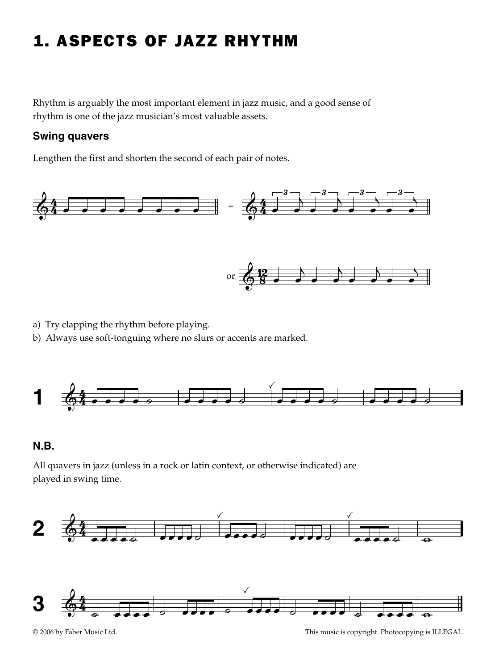## 1. ASPECTS OF JAZZ RHYTHM

Rhythm is arguably the most important element in jazz music, and a good sense of rhythm is one of the jazz musician's most valuable assets.

### **Swing quavers**

Lengthen the first and shorten the second of each pair of notes.



- a) Try clapping the rhythm before playing.
- b) Always use soft-tonguing where no slurs or accents are marked.



### **N.B.**

All quavers in jazz (unless in a rock or latin context, or otherwise indicated) are played in swing time.



© 2006 by Faber Music Ltd. This music is copyright. Photocopying is ILLEGAL.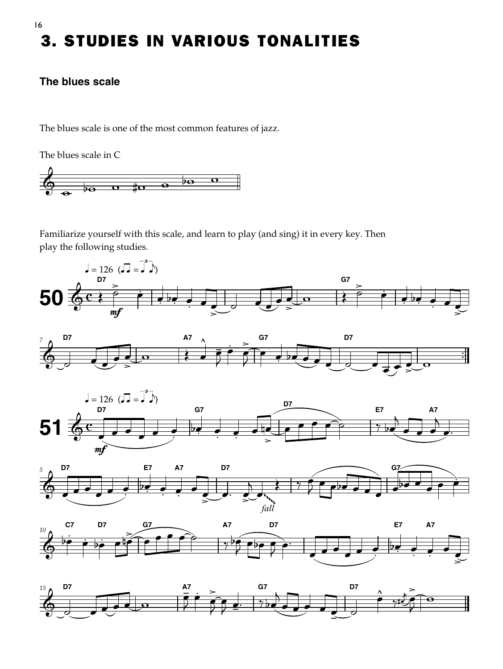# 3. STUDIES IN VARIOUS TONALITIES

### **The blues scale**

The blues scale is one of the most common features of jazz.

The blues scale in C



Familiarize yourself with this scale, and learn to play (and sing) it in every key. Then play the following studies.











16